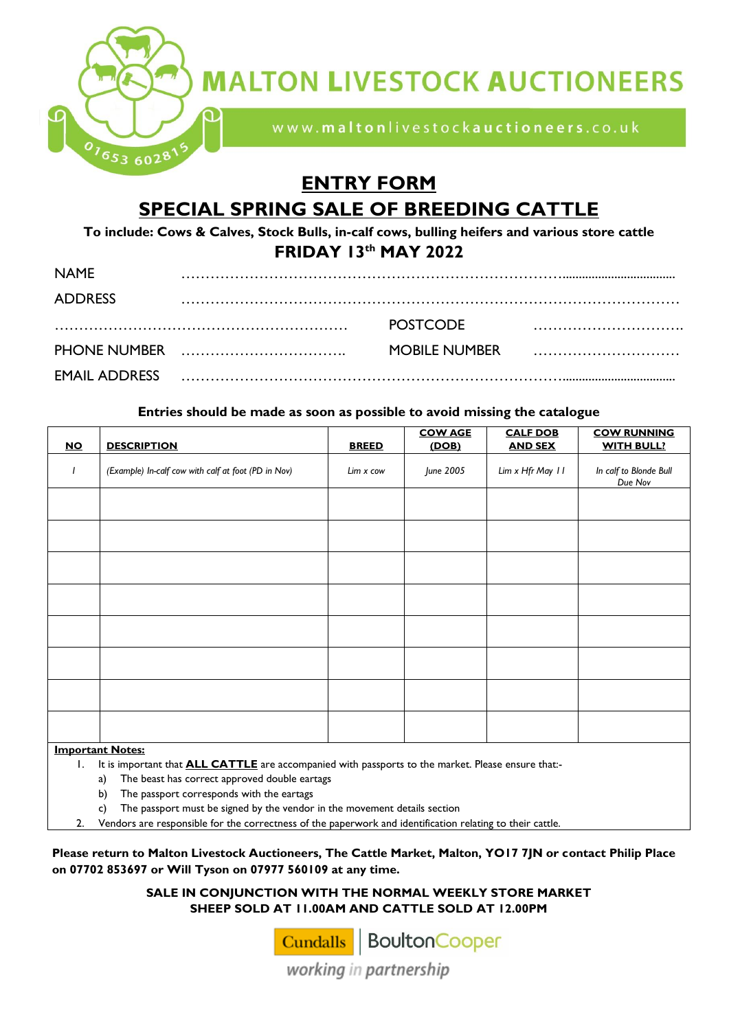

**MALTON LIVESTOCK AUCTIONEERS** 

www.maltonlivestockauctioneers.co.uk

## **ENTRY FORM SPECIAL SPRING SALE OF BREEDING CATTLE**

**To include: Cows & Calves, Stock Bulls, in-calf cows, bulling heifers and various store cattle FRIDAY 13 th MAY 2022**

| <b>NAMF</b>          |                 |  |
|----------------------|-----------------|--|
| <b>ADDRESS</b>       |                 |  |
|                      | <b>POSTCODE</b> |  |
|                      | MOBILE NUMBER   |  |
| <b>EMAIL ADDRESS</b> |                 |  |

## **Entries should be made as soon as possible to avoid missing the catalogue**

|                         |                                                     |              | <b>COW AGE</b> | <b>CALF DOB</b>  | <b>COW RUNNING</b>                |  |
|-------------------------|-----------------------------------------------------|--------------|----------------|------------------|-----------------------------------|--|
| $NO$                    | <b>DESCRIPTION</b>                                  | <b>BREED</b> | (DOB)          | <b>AND SEX</b>   | <b>WITH BULL?</b>                 |  |
|                         | (Example) In-calf cow with calf at foot (PD in Nov) | Lim x cow    | June 2005      | Lim x Hfr May 11 | In calf to Blonde Bull<br>Due Nov |  |
|                         |                                                     |              |                |                  |                                   |  |
|                         |                                                     |              |                |                  |                                   |  |
|                         |                                                     |              |                |                  |                                   |  |
|                         |                                                     |              |                |                  |                                   |  |
|                         |                                                     |              |                |                  |                                   |  |
|                         |                                                     |              |                |                  |                                   |  |
|                         |                                                     |              |                |                  |                                   |  |
|                         |                                                     |              |                |                  |                                   |  |
| <b>Important Notes:</b> |                                                     |              |                |                  |                                   |  |

**Important Notes:** 

1. It is important that **ALL CATTLE** are accompanied with passports to the market. Please ensure that:-

a) The beast has correct approved double eartags

b) The passport corresponds with the eartags

c) The passport must be signed by the vendor in the movement details section

2. Vendors are responsible for the correctness of the paperwork and identification relating to their cattle.

**Please return to Malton Livestock Auctioneers, The Cattle Market, Malton, YO17 7JN or contact Philip Place on 07702 853697 or Will Tyson on 07977 560109 at any time.** 

> **SALE IN CONJUNCTION WITH THE NORMAL WEEKLY STORE MARKET SHEEP SOLD AT 11.00AM AND CATTLE SOLD AT 12.00PM**

> > Cundalls BoultonCooper

working in partnership